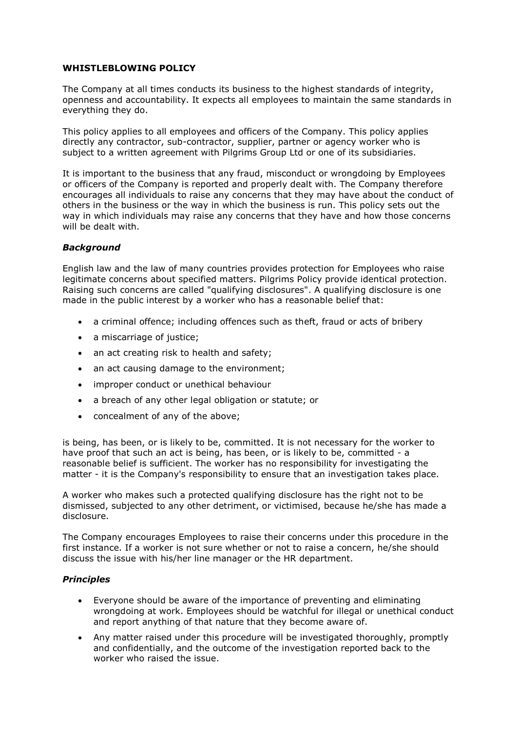## **WHISTLEBLOWING POLICY**

The Company at all times conducts its business to the highest standards of integrity, openness and accountability. It expects all employees to maintain the same standards in everything they do.

This policy applies to all employees and officers of the Company. This policy applies directly any contractor, sub-contractor, supplier, partner or agency worker who is subject to a written agreement with Pilgrims Group Ltd or one of its subsidiaries.

It is important to the business that any fraud, misconduct or wrongdoing by Employees or officers of the Company is reported and properly dealt with. The Company therefore encourages all individuals to raise any concerns that they may have about the conduct of others in the business or the way in which the business is run. This policy sets out the way in which individuals may raise any concerns that they have and how those concerns will be dealt with.

## *Background*

English law and the law of many countries provides protection for Employees who raise legitimate concerns about specified matters. Pilgrims Policy provide identical protection. Raising such concerns are called "qualifying disclosures". A qualifying disclosure is one made in the public interest by a worker who has a reasonable belief that:

- a criminal offence; including offences such as theft, fraud or acts of bribery
- a miscarriage of justice;
- an act creating risk to health and safety;
- an act causing damage to the environment;
- improper conduct or unethical behaviour
- a breach of any other legal obligation or statute; or
- concealment of any of the above;

is being, has been, or is likely to be, committed. It is not necessary for the worker to have proof that such an act is being, has been, or is likely to be, committed - a reasonable belief is sufficient. The worker has no responsibility for investigating the matter - it is the Company's responsibility to ensure that an investigation takes place.

A worker who makes such a protected qualifying disclosure has the right not to be dismissed, subjected to any other detriment, or victimised, because he/she has made a disclosure.

The Company encourages Employees to raise their concerns under this procedure in the first instance. If a worker is not sure whether or not to raise a concern, he/she should discuss the issue with his/her line manager or the HR department.

## *Principles*

- Everyone should be aware of the importance of preventing and eliminating wrongdoing at work. Employees should be watchful for illegal or unethical conduct and report anything of that nature that they become aware of.
- Any matter raised under this procedure will be investigated thoroughly, promptly and confidentially, and the outcome of the investigation reported back to the worker who raised the issue.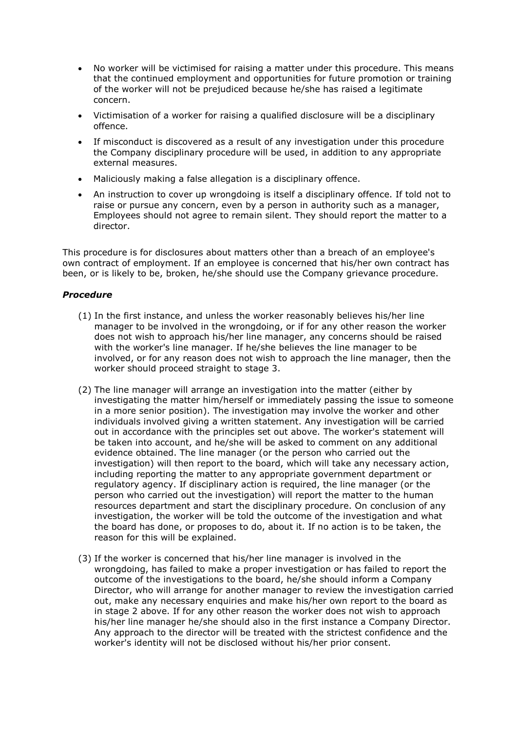- No worker will be victimised for raising a matter under this procedure. This means that the continued employment and opportunities for future promotion or training of the worker will not be prejudiced because he/she has raised a legitimate concern.
- Victimisation of a worker for raising a qualified disclosure will be a disciplinary offence.
- If misconduct is discovered as a result of any investigation under this procedure the Company disciplinary procedure will be used, in addition to any appropriate external measures.
- Maliciously making a false allegation is a disciplinary offence.
- An instruction to cover up wrongdoing is itself a disciplinary offence. If told not to raise or pursue any concern, even by a person in authority such as a manager, Employees should not agree to remain silent. They should report the matter to a director.

This procedure is for disclosures about matters other than a breach of an employee's own contract of employment. If an employee is concerned that his/her own contract has been, or is likely to be, broken, he/she should use the Company grievance procedure.

## *Procedure*

- (1) In the first instance, and unless the worker reasonably believes his/her line manager to be involved in the wrongdoing, or if for any other reason the worker does not wish to approach his/her line manager, any concerns should be raised with the worker's line manager. If he/she believes the line manager to be involved, or for any reason does not wish to approach the line manager, then the worker should proceed straight to stage 3.
- (2) The line manager will arrange an investigation into the matter (either by investigating the matter him/herself or immediately passing the issue to someone in a more senior position). The investigation may involve the worker and other individuals involved giving a written statement. Any investigation will be carried out in accordance with the principles set out above. The worker's statement will be taken into account, and he/she will be asked to comment on any additional evidence obtained. The line manager (or the person who carried out the investigation) will then report to the board, which will take any necessary action, including reporting the matter to any appropriate government department or regulatory agency. If disciplinary action is required, the line manager (or the person who carried out the investigation) will report the matter to the human resources department and start the disciplinary procedure. On conclusion of any investigation, the worker will be told the outcome of the investigation and what the board has done, or proposes to do, about it. If no action is to be taken, the reason for this will be explained.
- (3) If the worker is concerned that his/her line manager is involved in the wrongdoing, has failed to make a proper investigation or has failed to report the outcome of the investigations to the board, he/she should inform a Company Director, who will arrange for another manager to review the investigation carried out, make any necessary enquiries and make his/her own report to the board as in stage 2 above. If for any other reason the worker does not wish to approach his/her line manager he/she should also in the first instance a Company Director. Any approach to the director will be treated with the strictest confidence and the worker's identity will not be disclosed without his/her prior consent.